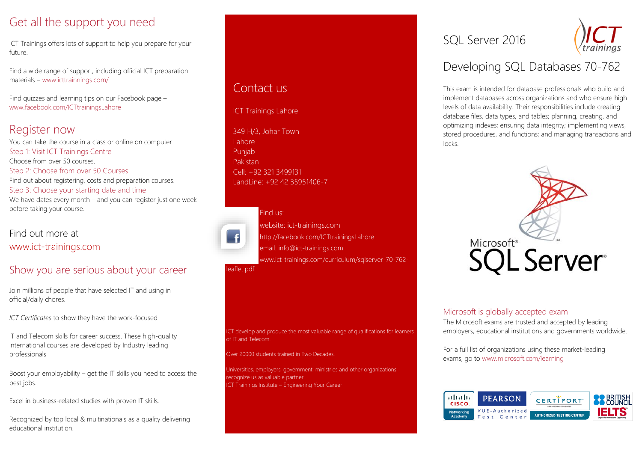# Get all the support you need

ICT Trainings offers lots of support to help you prepare for your future.

Find a wide range of support, including official ICT preparation materials – www.icttrainnings.com/

Find quizzes and learning tips on our Facebook page – www.facebook.com/ICTtrainingsLahore

# Register now

You can take the course in a class or online on computer. Step 1: Visit ICT Trainings Centre Choose from over 50 courses. Step 2: Choose from over 50 Courses Find out about registering, costs and preparation courses. Step 3: Choose your starting date and time We have dates every month – and you can register just one week before taking your course.

# Find out more at [www.ict-trainings.com](http://www.ict-trainings.com/)

# Show you are serious about your career

Join millions of people that have selected IT and using in official/daily chores.

*ICT Certificates* to show they have the work-focused

IT and Telecom skills for career success. These high-quality international courses are developed by Industry leading professionals

Boost your employability – get the IT skills you need to access the best jobs.

Excel in business-related studies with proven IT skills.

Recognized by top local & multinationals as a quality delivering educational institution.

# Contact us

#### ICT Trainings Lahore

349 H/3, Johar Town Lahore Punjab Pakistan Cell: +92 321 3499131 LandLine: +92 42 35951406-7



[leaflet.pdf](http://www.ict-trainings.com/curriculum/sqlserver-70-762-leaflet.pdf)

# Find us: website: ict-trainings.com <http://facebook.com/ICTtrainingsLahore> email: info@ict-trainings.com [www.ict-trainings.com/curriculum/sqlserver-70-762-](http://www.ict-trainings.com/curriculum/sqlserver-70-762-leaflet.pdf)

ICT develop and produce the most valuable range of qualifications for learners of IT and Telecom.

Over 20000 students trained in Two Decades.

Universities, employers, government, ministries and other organizations recognize us as valuable partner. ICT Trainings Institute – Engineering Your Career

# SOL Server 2016

# Developing SQL Databases 70-762

This exam is intended for database professionals who build and implement databases across organizations and who ensure high levels of data availability. Their responsibilities include creating database files, data types, and tables; planning, creating, and optimizing indexes; ensuring data integrity; implementing views, stored procedures, and functions; and managing transactions and locks.



## Microsoft is globally accepted exam

The Microsoft exams are trusted and accepted by leading employers, educational institutions and governments worldwide.

For a full list of organizations using these market-leading exams, go to www.microsoft.com/learning